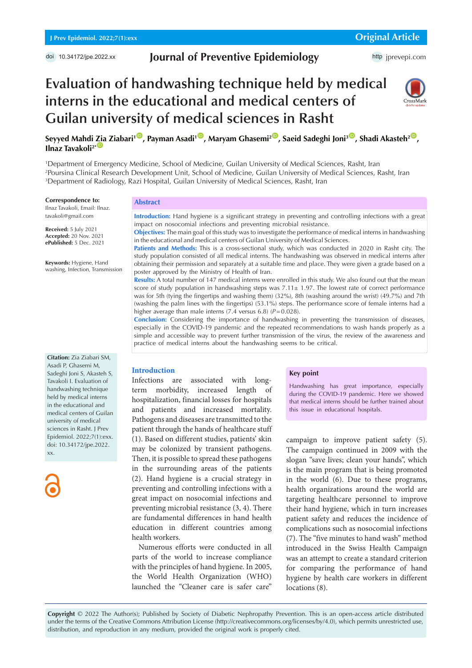## **Journal of Preventive Epidemiology**

http [jprevepi.com](http://jprevepi.com)

# **Evaluation of handwashing technique held by medical interns in the educational and medical centers of Guilan university of medical sciences in Rasht**



 $S$ eyyed Mahdi [Zia](https://orcid.org/0000-0003-2246-2647) Ziabari<sup>100</sup>, Payman Asadi<sup>100</sup>, Maryam Ghasemi<sup>200</sup>, Saeid Sadeghi Joni<sup>300</sup>, Shadi Akasteh<sup>200</sup>, **Ilnaz Tavakoli<sup>2\*</sup>** 

1 Department of Emergency Medicine, School of Medicine, Guilan University of Medical Sciences, Rasht, Iran 2 Poursina Clinical Research Development Unit, School of Medicine, Guilan University of Medical Sciences, Rasht, Iran 3 Department of Radiology, Razi Hospital, Guilan University of Medical Sciences, Rasht, Iran

#### **Correspondence to:**

Ilnaz Tavakoli, Email: Ilnaz. tavakoli@gmail.com

**Received:** 5 July 2021 **Accepted:** 20 Nov. 2021 **ePublished:** 5 Dec. 2021

**Keywords:** Hygiene, Hand washing, Infection, Transmission

**Citation:** Zia Ziabari SM, Asadi P, Ghasemi M, Sadeghi Joni S, Akasteh S, Tavakoli I. Evaluation of handwashing technique held by medical interns in the educational and medical centers of Guilan university of medical sciences in Rasht. J Prev Epidemiol. 2022;7(1):exx. doi: 10.34172/jpe.2022. xx.



### **Abstract**

**Introduction:** Hand hygiene is a significant strategy in preventing and controlling infections with a great impact on nosocomial infections and preventing microbial resistance.

**Objectives:** The main goal of this study was to investigate the performance of medical interns in handwashing in the educational and medical centers of Guilan University of Medical Sciences.

**Patients and Methods:** This is a cross-sectional study, which was conducted in 2020 in Rasht city. The study population consisted of all medical interns. The handwashing was observed in medical interns after obtaining their permission and separately at a suitable time and place. They were given a grade based on a poster approved by the Ministry of Health of Iran.

**Results:** A total number of 147 medical interns were enrolled in this study. We also found out that the mean score of study population in handwashing steps was  $7.11 \pm 1.97$ . The lowest rate of correct performance was for 5th (tying the fingertips and washing them) (32%), 8th (washing around the wrist) (49.7%) and 7th (washing the palm lines with the fingertips) (53.1%) steps. The performance score of female interns had a higher average than male interns  $(7.4 \text{ versus } 6.8)$   $(P=0.028)$ .

**Conclusion:** Considering the importance of handwashing in preventing the transmission of diseases, especially in the COVID-19 pandemic and the repeated recommendations to wash hands properly as a simple and accessible way to prevent further transmission of the virus, the review of the awareness and practice of medical interns about the handwashing seems to be critical.

## **Introduction**

Infections are associated with longterm morbidity, increased length of hospitalization, financial losses for hospitals and patients and increased mortality. Pathogens and diseases are transmitted to the patient through the hands of healthcare stuff (1). Based on different studies, patients' skin may be colonized by transient pathogens. Then, it is possible to spread these pathogens in the surrounding areas of the patients (2). Hand hygiene is a crucial strategy in preventing and controlling infections with a great impact on nosocomial infections and preventing microbial resistance (3, 4). There are fundamental differences in hand health education in different countries among health workers.

Numerous efforts were conducted in all parts of the world to increase compliance with the principles of hand hygiene. In 2005, the World Health Organization (WHO) launched the "Cleaner care is safer care"

#### **Key point**

Handwashing has great importance, especially during the COVID-19 pandemic. Here we showed that medical interns should be further trained about this issue in educational hospitals.

campaign to improve patient safety (5). The campaign continued in 2009 with the slogan "save lives; clean your hands", which is the main program that is being promoted in the world (6). Due to these programs, health organizations around the world are targeting healthcare personnel to improve their hand hygiene, which in turn increases patient safety and reduces the incidence of complications such as nosocomial infections (7). The "five minutes to hand wash" method introduced in the Swiss Health Campaign was an attempt to create a standard criterion for comparing the performance of hand hygiene by health care workers in different locations (8).

**Copyright** © 2022 The Author(s); Published by Society of Diabetic Nephropathy Prevention. This is an open-access article distributed under the terms of the Creative Commons Attribution License (http://creativecommons.org/licenses/by/4.0), which permits unrestricted use, distribution, and reproduction in any medium, provided the original work is properly cited.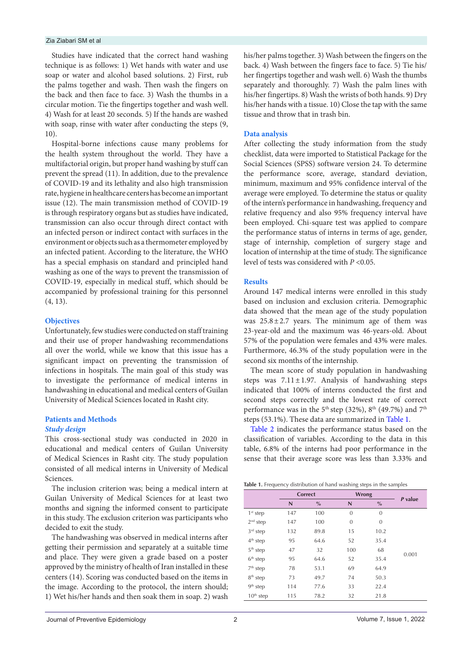#### Zia Ziabari SM et al

Studies have indicated that the correct hand washing technique is as follows: 1) Wet hands with water and use soap or water and alcohol based solutions. 2) First, rub the palms together and wash. Then wash the fingers on the back and then face to face. 3) Wash the thumbs in a circular motion. Tie the fingertips together and wash well. 4) Wash for at least 20 seconds. 5) If the hands are washed with soap, rinse with water after conducting the steps (9, 10).

Hospital-borne infections cause many problems for the health system throughout the world. They have a multifactorial origin, but proper hand washing by stuff can prevent the spread (11). In addition, due to the prevalence of COVID-19 and its lethality and also high transmission rate, hygiene in healthcare centers has become an important issue (12). The main transmission method of COVID-19 is through respiratory organs but as studies have indicated, transmission can also occur through direct contact with an infected person or indirect contact with surfaces in the environment or objects such as a thermometer employed by an infected patient. According to the literature, the WHO has a special emphasis on standard and principled hand washing as one of the ways to prevent the transmission of COVID-19, especially in medical stuff, which should be accompanied by professional training for this personnel (4, 13).

## **Objectives**

Unfortunately, few studies were conducted on staff training and their use of proper handwashing recommendations all over the world, while we know that this issue has a significant impact on preventing the transmission of infections in hospitals. The main goal of this study was to investigate the performance of medical interns in handwashing in educational and medical centers of Guilan University of Medical Sciences located in Rasht city.

#### **Patients and Methods**

#### *Study design*

This cross-sectional study was conducted in 2020 in educational and medical centers of Guilan University of Medical Sciences in Rasht city. The study population consisted of all medical interns in University of Medical Sciences.

The inclusion criterion was; being a medical intern at Guilan University of Medical Sciences for at least two months and signing the informed consent to participate in this study. The exclusion criterion was participants who decided to exit the study.

The handwashing was observed in medical interns after getting their permission and separately at a suitable time and place. They were given a grade based on a poster approved by the ministry of health of Iran installed in these centers (14). Scoring was conducted based on the items in the image. According to the protocol, the intern should; 1) Wet his/her hands and then soak them in soap. 2) wash

his/her palms together. 3) Wash between the fingers on the back. 4) Wash between the fingers face to face. 5) Tie his/ her fingertips together and wash well. 6) Wash the thumbs separately and thoroughly. 7) Wash the palm lines with his/her fingertips. 8) Wash the wrists of both hands. 9) Dry his/her hands with a tissue. 10) Close the tap with the same tissue and throw that in trash bin.

## **Data analysis**

After collecting the study information from the study checklist, data were imported to Statistical Package for the Social Sciences (SPSS) software version 24. To determine the performance score, average, standard deviation, minimum, maximum and 95% confidence interval of the average were employed. To determine the status or quality of the intern's performance in handwashing, frequency and relative frequency and also 95% frequency interval have been employed. Chi-square test was applied to compare the performance status of interns in terms of age, gender, stage of internship, completion of surgery stage and location of internship at the time of study. The significance level of tests was considered with *P* <0.05.

## **Results**

Around 147 medical interns were enrolled in this study based on inclusion and exclusion criteria. Demographic data showed that the mean age of the study population was  $25.8 \pm 2.7$  years. The minimum age of them was 23-year-old and the maximum was 46-years-old. About 57% of the population were females and 43% were males. Furthermore, 46.3% of the study population were in the second six months of the internship.

The mean score of study population in handwashing steps was  $7.11 \pm 1.97$ . Analysis of handwashing steps indicated that 100% of interns conducted the first and second steps correctly and the lowest rate of correct performance was in the 5<sup>th</sup> step (32%), 8<sup>th</sup> (49.7%) and 7<sup>th</sup> steps (53.1%). These data are summarized in [Table 1.](#page-1-0)

[Table 2](#page-2-0) indicates the performance status based on the classification of variables. According to the data in this table, 6.8% of the interns had poor performance in the sense that their average score was less than 3.33% and

<span id="page-1-0"></span>

| Table 1. Frequency distribution of hand washing steps in the samples |  |  |  |  |  |
|----------------------------------------------------------------------|--|--|--|--|--|
|----------------------------------------------------------------------|--|--|--|--|--|

|             |     | <b>Correct</b> |              | <b>Wrong</b> |         |
|-------------|-----|----------------|--------------|--------------|---------|
|             | N   | $\%$           | N            | $\%$         | P value |
| $1st$ step  | 147 | 100            | $\mathbf{0}$ | $\mathbf{0}$ |         |
| $2nd$ step  | 147 | 100            | 0            | $\mathbf{0}$ |         |
| $3rd$ step  | 132 | 89.8           | 15           | 10.2         |         |
| $4th$ step  | 95  | 64.6           | 52           | 35.4         |         |
| $5th$ step  | 47  | 32             | 100          | 68           |         |
| $6th$ step  | 95  | 64.6           | 52           | 35.4         | 0.001   |
| $7th$ step  | 78  | 53.1           | 69           | 64.9         |         |
| $8th$ step  | 73  | 49.7           | 74           | 50.3         |         |
| $9th$ step  | 114 | 77.6           | 33           | 22.4         |         |
| $10th$ step | 115 | 78.2           | 32           | 21.8         |         |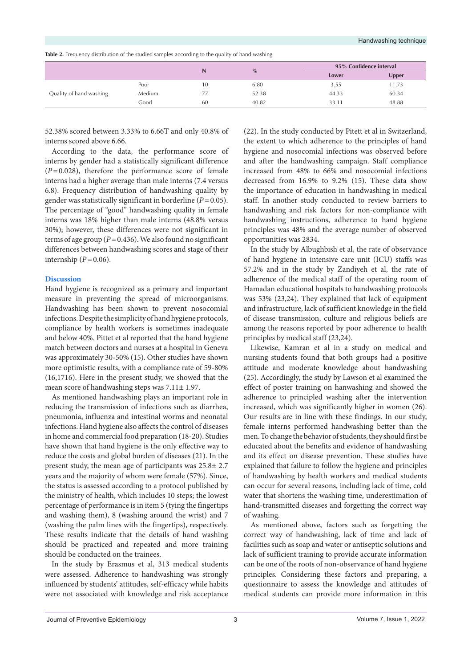<span id="page-2-0"></span>**Table 2.** Frequency distribution of the studied samples according to the quality of hand washing

|                         |        | N  | $\%$  |       | 95% Confidence interval |  |
|-------------------------|--------|----|-------|-------|-------------------------|--|
|                         |        |    |       | Lower | <b>Upper</b>            |  |
| Quality of hand washing | Poor   | 10 | 6.80  | 3.55  | 11.73                   |  |
|                         | Medium | 77 | 52.38 | 44.33 | 60.34                   |  |
|                         | Good   | 60 | 40.82 | 33.11 | 48.88                   |  |

52.38% scored between 3.33% to 6.66T and only 40.8% of interns scored above 6.66.

According to the data, the performance score of interns by gender had a statistically significant difference (*P=*0.028), therefore the performance score of female interns had a higher average than male interns (7.4 versus 6.8). Frequency distribution of handwashing quality by gender was statistically significant in borderline (*P=*0.05). The percentage of "good" handwashing quality in female interns was 18% higher than male interns (48.8% versus 30%); however, these differences were not significant in terms of age group (*P=*0.436). We also found no significant differences between handwashing scores and stage of their internship (*P=*0.06).

#### **Discussion**

Hand hygiene is recognized as a primary and important measure in preventing the spread of microorganisms. Handwashing has been shown to prevent nosocomial infections. Despite the simplicity of hand hygiene protocols, compliance by health workers is sometimes inadequate and below 40%. Pittet et al reported that the hand hygiene match between doctors and nurses at a hospital in Geneva was approximately 30-50% (15). Other studies have shown more optimistic results, with a compliance rate of 59-80% (16,1716). Here in the present study, we showed that the mean score of handwashing steps was 7.11± 1.97.

As mentioned handwashing plays an important role in reducing the transmission of infections such as diarrhea, pneumonia, influenza and intestinal worms and neonatal infections. Hand hygiene also affects the control of diseases in home and commercial food preparation (18-20). Studies have shown that hand hygiene is the only effective way to reduce the costs and global burden of diseases (21). In the present study, the mean age of participants was 25.8± 2.7 years and the majority of whom were female (57%). Since, the status is assessed according to a protocol published by the ministry of health, which includes 10 steps; the lowest percentage of performance is in item 5 (tying the fingertips and washing them), 8 (washing around the wrist) and 7 (washing the palm lines with the fingertips), respectively. These results indicate that the details of hand washing should be practiced and repeated and more training should be conducted on the trainees.

In the study by Erasmus et al, 313 medical students were assessed. Adherence to handwashing was strongly influenced by students' attitudes, self-efficacy while habits were not associated with knowledge and risk acceptance (22). In the study conducted by Pitett et al in Switzerland, the extent to which adherence to the principles of hand hygiene and nosocomial infections was observed before and after the handwashing campaign. Staff compliance increased from 48% to 66% and nosocomial infections decreased from 16.9% to 9.2% (15). These data show the importance of education in handwashing in medical staff. In another study conducted to review barriers to handwashing and risk factors for non-compliance with handwashing instructions, adherence to hand hygiene principles was 48% and the average number of observed opportunities was 2834.

In the study by Albughbish et al, the rate of observance of hand hygiene in intensive care unit (ICU) staffs was 57.2% and in the study by Zandiyeh et al, the rate of adherence of the medical staff of the operating room of Hamadan educational hospitals to handwashing protocols was 53% (23,24). They explained that lack of equipment and infrastructure, lack of sufficient knowledge in the field of disease transmission, culture and religious beliefs are among the reasons reported by poor adherence to health principles by medical staff (23,24).

Likewise, Kamran et al in a study on medical and nursing students found that both groups had a positive attitude and moderate knowledge about handwashing (25). Accordingly, the study by Lawson et al examined the effect of poster training on hanwashing and showed the adherence to principled washing after the intervention increased, which was significantly higher in women (26). Our results are in line with these findings. In our study, female interns performed handwashing better than the men. To change the behavior of students, they should first be educated about the benefits and evidence of handwashing and its effect on disease prevention. These studies have explained that failure to follow the hygiene and principles of handwashing by health workers and medical students can occur for several reasons, including lack of time, cold water that shortens the washing time, underestimation of hand-transmitted diseases and forgetting the correct way of washing.

As mentioned above, factors such as forgetting the correct way of handwashing, lack of time and lack of facilities such as soap and water or antiseptic solutions and lack of sufficient training to provide accurate information can be one of the roots of non-observance of hand hygiene principles. Considering these factors and preparing, a questionnaire to assess the knowledge and attitudes of medical students can provide more information in this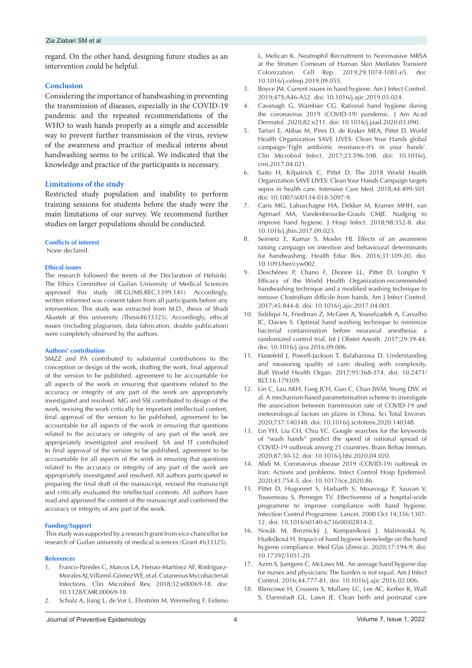### Zia Ziabari SM et al

regard. On the other hand, designing future studies as an intervention could be helpful.

#### **Conclusion**

Considering the importance of handwashing in preventing the transmission of diseases, especially in the COVID-19 pandemic and the repeated recommendations of the WHO to wash hands properly as a simple and accessible way to prevent further transmission of the virus, review of the awareness and practice of medical interns about handwashing seems to be critical. We indicated that the knowledge and practice of the participants is necessary.

#### **Limitations of the study**

Restricted study population and inability to perform training sessions for students before the study were the main limitations of our survey. We recommend further studies on larger populations should be conducted.

#### **Conflicts of interest**

None declared.

#### **Ethical issues**

The research followed the tenets of the Declaration of Helsinki. The Ethics Committee of Guilan University of Medical Sciences approved this study (IR.GUMS.REC.1399.141). Accordingly, written informed was consent taken from all participants before any intervention. This study was extracted from M.D., thesis of Shadi Akasteh at this university (Thesis#633325). Accordingly, ethical issues (including plagiarism, data fabrication, double publication) were completely observed by the authors.

#### **Authors' contribution**

SMZZ and PA contributed to substantial contributions to the conception or design of the work, drafting the work, final approval of the version to be published, agreement to be accountable for all aspects of the work in ensuring that questions related to the accuracy or integrity of any part of the work are appropriately investigated and resolved. MG and SSJ contributed to design of the work, revising the work critically for important intellectual content, final approval of the version to be published, agreement to be accountable for all aspects of the work in ensuring that questions related to the accuracy or integrity of any part of the work are appropriately investigated and resolved. SA and IT contributed to final approval of the version to be published, agreement to be accountable for all aspects of the work in ensuring that questions related to the accuracy or integrity of any part of the work are appropriately investigated and resolved. All authors participated in preparing the final draft of the manuscript, revised the manuscript and critically evaluated the intellectual contents. All authors have read and approved the content of the manuscript and confirmed the accuracy or integrity of any part of the work.

#### **Funding/Support**

 This study was supported by a research grant from vice chancellor for research of Guilan university of medical sciences (Grant #633325).

#### **References**

- 1. Franco-Paredes C, Marcos LA, Henao-Martínez AF, Rodríguez-Morales AJ, Villamil-Gómez WE, et al. Cutaneous Mycobacterial Infections. Clin Microbiol Rev. 2018;32:e00069-18. doi: 10.1128/CMR.00069-18.
- 2. Schulz A, Jiang L, de Vor L, Ehrström M, Wermeling F, Eidsmo

L, Melican K. Neutrophil Recruitment to Noninvasive MRSA at the Stratum Corneum of Human Skin Mediates Transient Colonization. Cell Rep. 2019;29:1074-1081.e5. doi: 10.1016/j.celrep.2019.09.055.

- 3. Boyce JM. Current issues in hand hygiene. Am J Infect Control. 2019;47S:A46-A52. doi: 10.1016/j.ajic.2019.03.024.
- 4. Cavanagh G, Wambier CG. Rational hand hygiene during the coronavirus 2019 (COVID-19) pandemic. J Am Acad Dermatol. 2020;82:e211. doi: 10.1016/j.jaad.2020.03.090.
- 5. Tartari E, Abbas M, Pires D, de Kraker MEA, Pittet D. World Health Organization SAVE LIVES: Clean Your Hands global campaign-'Fight antibiotic resistance-it's in your hands'. Clin Microbiol Infect. 2017;23:596-598. doi: 10.1016/j. cmi.2017.04.021.
- 6. Saito H, Kilpatrick C, Pittet D. The 2018 World Health Organization SAVE LIVES: Clean Your Hands Campaign targets sepsis in health care. Intensive Care Med. 2018;44:499-501. doi: 10.1007/s00134-018-5097-9.
- 7. Caris MG, Labuschagne HA, Dekker M, Kramer MHH, van Agtmael MA, Vandenbroucke-Grauls CMJE. Nudging to improve hand hygiene. J Hosp Infect. 2018;98:352-8. doi: 10.1016/j.jhin.2017.09.023.
- 8. Seimetz E, Kumar S, Mosler HJ. Effects of an awareness raising campaign on intention and behavioural determinants for handwashing. Health Educ Res. 2016;31:109-20. doi: 10.1093/her/cyw002.
- 9. Deschênes P, Chano F, Dionne LL, Pittet D, Longtin Y. Efficacy of the World Health Organization-recommended handwashing technique and a modified washing technique to remove Clostridium difficile from hands. Am J Infect Control. 2017;45:844-8. doi: 10.1016/j.ajic.2017.04.001.
- 10. Siddiqui N, Friedman Z, McGeer A, Yousefzadeh A, Carvalho JC, Davies S. Optimal hand washing technique to minimize bacterial contamination before neuraxial anesthesia: a randomized control trial. Int J Obstet Anesth. 2017;29:39-44. doi: 10.1016/j.ijoa.2016.09.006.
- 11. Hanefeld J, Powell-Jackson T, Balabanova D. Understanding and measuring quality of care: dealing with complexity. Bull World Health Organ. 2017;95:368-374. doi: 10.2471/ BLT.16.179309.
- 12. Lin C, Lau AKH, Fung JCH, Guo C, Chan JWM, Yeung DW, et al. A mechanism-based parameterisation scheme to investigate the association between transmission rate of COVID-19 and meteorological factors on plains in China. Sci Total Environ. 2020;737:140348. doi: 10.1016/j.scitotenv.2020.140348.
- 13. Lin YH, Liu CH, Chiu YC. Google searches for the keywords of "wash hands" predict the speed of national spread of COVID-19 outbreak among 21 countries. Brain Behav Immun. 2020;87:30-32. doi: 10.1016/j.bbi.2020.04.020.
- 14. Abdi M. Coronavirus disease 2019 (COVID-19) outbreak in Iran: Actions and problems. Infect Control Hosp Epidemiol. 2020;41:754-5. doi: 10.1017/ice.2020.86.
- 15. Pittet D, Hugonnet S, Harbarth S, Mourouga P, Sauvan V, Touveneau S, Perneger TV. Effectiveness of a hospital-wide programme to improve compliance with hand hygiene. Infection Control Programme. Lancet. 2000 Oct 14;356:1307- 12. doi: 10.1016/s0140-6736(00)02814-2.
- 16. Novák M, Breznický J, Kompaníková J, Malinovská N, Hudečková H. Impact of hand hygiene knowledge on the hand hygiene compliance. Med Glas (Zenica). 2020;17:194-9. doi: 10.17392/1051-20.
- 17. Azim S, Juergens C, McLaws ML. An average hand hygiene day for nurses and physicians: The burden is not equal. Am J Infect Control. 2016;44:777-81. doi: 10.1016/j.ajic.2016.02.006.
- 18. Blencowe H, Cousens S, Mullany LC, Lee AC, Kerber K, Wall S, Darmstadt GL, Lawn JE. Clean birth and postnatal care